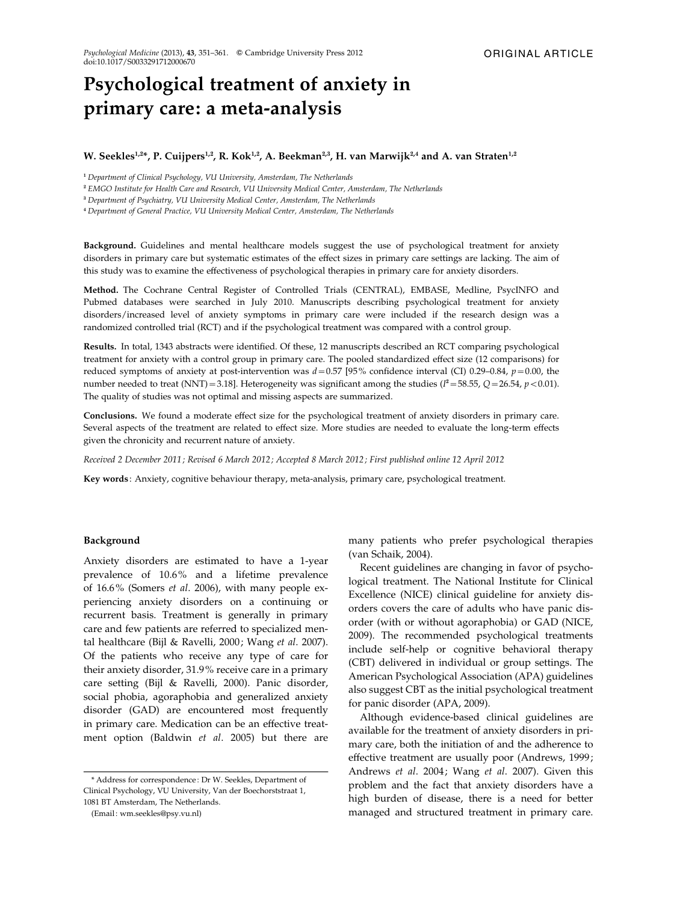# Psychological treatment of anxiety in primary care: a meta-analysis

# W. Seekles<sup>1,2</sup>\*, P. Cuijpers<sup>1,2</sup>, R. Kok<sup>1,2</sup>, A. Beekman<sup>2,3</sup>, H. van Marwijk<sup>2,4</sup> and A. van Straten<sup>1,2</sup>

<sup>1</sup> Department of Clinical Psychology, VU University, Amsterdam, The Netherlands

<sup>2</sup> EMGO Institute for Health Care and Research, VU University Medical Center, Amsterdam, The Netherlands

<sup>3</sup> Department of Psychiatry, VU University Medical Center, Amsterdam, The Netherlands

<sup>4</sup> Department of General Practice, VU University Medical Center, Amsterdam, The Netherlands

Background. Guidelines and mental healthcare models suggest the use of psychological treatment for anxiety disorders in primary care but systematic estimates of the effect sizes in primary care settings are lacking. The aim of this study was to examine the effectiveness of psychological therapies in primary care for anxiety disorders.

Method. The Cochrane Central Register of Controlled Trials (CENTRAL), EMBASE, Medline, PsycINFO and Pubmed databases were searched in July 2010. Manuscripts describing psychological treatment for anxiety disorders/increased level of anxiety symptoms in primary care were included if the research design was a randomized controlled trial (RCT) and if the psychological treatment was compared with a control group.

Results. In total, 1343 abstracts were identified. Of these, 12 manuscripts described an RCT comparing psychological treatment for anxiety with a control group in primary care. The pooled standardized effect size (12 comparisons) for reduced symptoms of anxiety at post-intervention was  $d=0.57$  [95% confidence interval (CI) 0.29–0.84,  $p=0.00$ , the number needed to treat (NNT) = 3.18]. Heterogeneity was significant among the studies ( $l^2$  = 58.55,  $Q$  = 26.54,  $p$  < 0.01). The quality of studies was not optimal and missing aspects are summarized.

Conclusions. We found a moderate effect size for the psychological treatment of anxiety disorders in primary care. Several aspects of the treatment are related to effect size. More studies are needed to evaluate the long-term effects given the chronicity and recurrent nature of anxiety.

Received 2 December 2011 ; Revised 6 March 2012 ; Accepted 8 March 2012 ; First published online 12 April 2012

Key words : Anxiety, cognitive behaviour therapy, meta-analysis, primary care, psychological treatment.

### Background

Anxiety disorders are estimated to have a 1-year prevalence of 10.6% and a lifetime prevalence of 16.6% (Somers et al. 2006), with many people experiencing anxiety disorders on a continuing or recurrent basis. Treatment is generally in primary care and few patients are referred to specialized mental healthcare (Bijl & Ravelli, 2000; Wang et al. 2007). Of the patients who receive any type of care for their anxiety disorder, 31.9% receive care in a primary care setting (Bijl & Ravelli, 2000). Panic disorder, social phobia, agoraphobia and generalized anxiety disorder (GAD) are encountered most frequently in primary care. Medication can be an effective treatment option (Baldwin et al. 2005) but there are

(Email : wm.seekles@psy.vu.nl)

many patients who prefer psychological therapies (van Schaik, 2004).

Recent guidelines are changing in favor of psychological treatment. The National Institute for Clinical Excellence (NICE) clinical guideline for anxiety disorders covers the care of adults who have panic disorder (with or without agoraphobia) or GAD (NICE, 2009). The recommended psychological treatments include self-help or cognitive behavioral therapy (CBT) delivered in individual or group settings. The American Psychological Association (APA) guidelines also suggest CBT as the initial psychological treatment for panic disorder (APA, 2009).

Although evidence-based clinical guidelines are available for the treatment of anxiety disorders in primary care, both the initiation of and the adherence to effective treatment are usually poor (Andrews, 1999; Andrews et al. 2004; Wang et al. 2007). Given this problem and the fact that anxiety disorders have a high burden of disease, there is a need for better managed and structured treatment in primary care.

<sup>\*</sup> Address for correspondence : Dr W. Seekles, Department of Clinical Psychology, VU University, Van der Boechorststraat 1, 1081 BT Amsterdam, The Netherlands.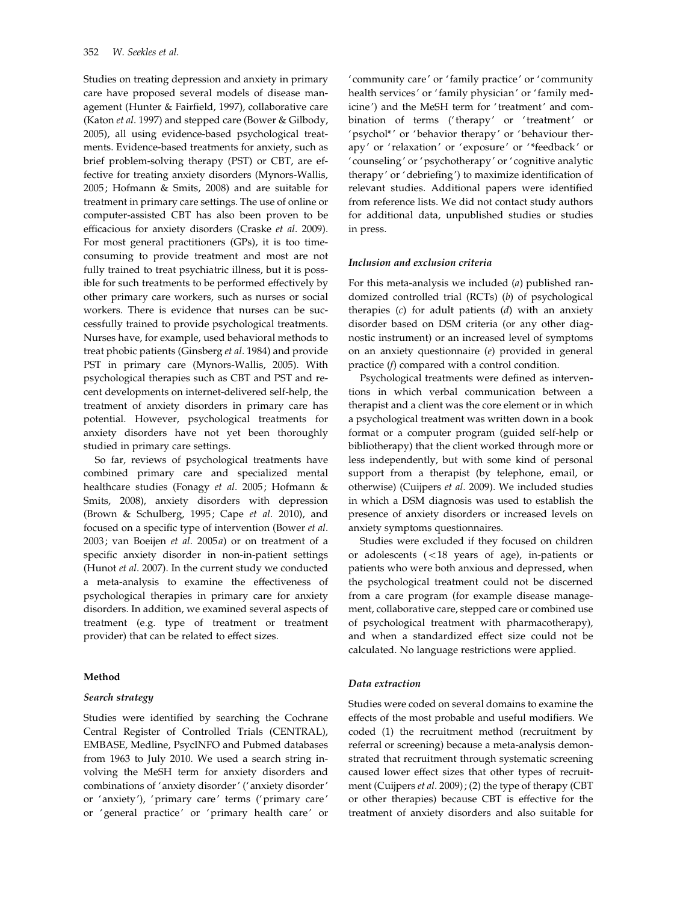Studies on treating depression and anxiety in primary care have proposed several models of disease management (Hunter & Fairfield, 1997), collaborative care (Katon et al. 1997) and stepped care (Bower & Gilbody, 2005), all using evidence-based psychological treatments. Evidence-based treatments for anxiety, such as brief problem-solving therapy (PST) or CBT, are effective for treating anxiety disorders (Mynors-Wallis, 2005; Hofmann & Smits, 2008) and are suitable for treatment in primary care settings. The use of online or computer-assisted CBT has also been proven to be efficacious for anxiety disorders (Craske et al. 2009). For most general practitioners (GPs), it is too timeconsuming to provide treatment and most are not fully trained to treat psychiatric illness, but it is possible for such treatments to be performed effectively by other primary care workers, such as nurses or social workers. There is evidence that nurses can be successfully trained to provide psychological treatments. Nurses have, for example, used behavioral methods to treat phobic patients (Ginsberg et al. 1984) and provide PST in primary care (Mynors-Wallis, 2005). With psychological therapies such as CBT and PST and recent developments on internet-delivered self-help, the treatment of anxiety disorders in primary care has potential. However, psychological treatments for anxiety disorders have not yet been thoroughly studied in primary care settings.

So far, reviews of psychological treatments have combined primary care and specialized mental healthcare studies (Fonagy et al. 2005; Hofmann & Smits, 2008), anxiety disorders with depression (Brown & Schulberg, 1995; Cape et al. 2010), and focused on a specific type of intervention (Bower et al. 2003; van Boeijen et al. 2005a) or on treatment of a specific anxiety disorder in non-in-patient settings (Hunot et al. 2007). In the current study we conducted a meta-analysis to examine the effectiveness of psychological therapies in primary care for anxiety disorders. In addition, we examined several aspects of treatment (e.g. type of treatment or treatment provider) that can be related to effect sizes.

# Method

### Search strategy

Studies were identified by searching the Cochrane Central Register of Controlled Trials (CENTRAL), EMBASE, Medline, PsycINFO and Pubmed databases from 1963 to July 2010. We used a search string involving the MeSH term for anxiety disorders and combinations of ' anxiety disorder' (' anxiety disorder' or ' anxiety'), 'primary care' terms ('primary care' or ' general practice' or 'primary health care' or

'community care' or ' family practice' or 'community health services' or 'family physician' or 'family medicine') and the MeSH term for ' treatment' and combination of terms ('therapy' or 'treatment' or 'psychol\*' or 'behavior therapy' or 'behaviour therapy' or ' relaxation' or 'exposure' or ' \*feedback' or 'counseling' or 'psychotherapy' or 'cognitive analytic therapy' or 'debriefing') to maximize identification of relevant studies. Additional papers were identified from reference lists. We did not contact study authors for additional data, unpublished studies or studies in press.

### Inclusion and exclusion criteria

For this meta-analysis we included (a) published randomized controlled trial (RCTs) (b) of psychological therapies  $(c)$  for adult patients  $(d)$  with an anxiety disorder based on DSM criteria (or any other diagnostic instrument) or an increased level of symptoms on an anxiety questionnaire (e) provided in general practice (f) compared with a control condition.

Psychological treatments were defined as interventions in which verbal communication between a therapist and a client was the core element or in which a psychological treatment was written down in a book format or a computer program (guided self-help or bibliotherapy) that the client worked through more or less independently, but with some kind of personal support from a therapist (by telephone, email, or otherwise) (Cuijpers et al. 2009). We included studies in which a DSM diagnosis was used to establish the presence of anxiety disorders or increased levels on anxiety symptoms questionnaires.

Studies were excluded if they focused on children or adolescents (<18 years of age), in-patients or patients who were both anxious and depressed, when the psychological treatment could not be discerned from a care program (for example disease management, collaborative care, stepped care or combined use of psychological treatment with pharmacotherapy), and when a standardized effect size could not be calculated. No language restrictions were applied.

# Data extraction

Studies were coded on several domains to examine the effects of the most probable and useful modifiers. We coded (1) the recruitment method (recruitment by referral or screening) because a meta-analysis demonstrated that recruitment through systematic screening caused lower effect sizes that other types of recruitment (Cuijpers et al. 2009); (2) the type of therapy (CBT or other therapies) because CBT is effective for the treatment of anxiety disorders and also suitable for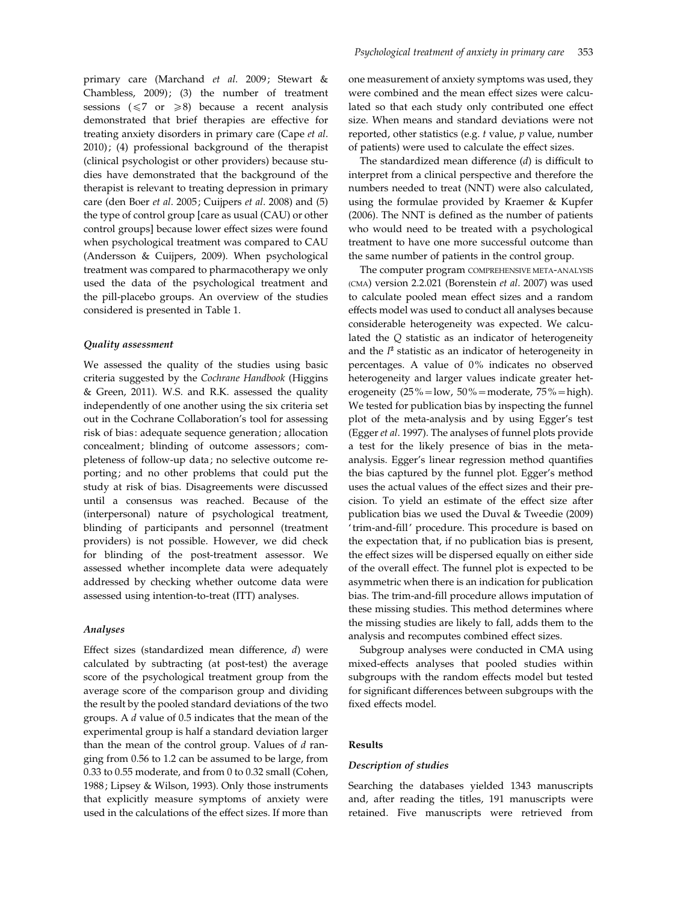primary care (Marchand et al. 2009; Stewart & Chambless, 2009); (3) the number of treatment sessions ( $\leq 7$  or  $\geq 8$ ) because a recent analysis demonstrated that brief therapies are effective for treating anxiety disorders in primary care (Cape et al. 2010); (4) professional background of the therapist (clinical psychologist or other providers) because studies have demonstrated that the background of the therapist is relevant to treating depression in primary care (den Boer et al. 2005; Cuijpers et al. 2008) and (5) the type of control group [care as usual (CAU) or other control groups] because lower effect sizes were found when psychological treatment was compared to CAU (Andersson & Cuijpers, 2009). When psychological treatment was compared to pharmacotherapy we only used the data of the psychological treatment and the pill-placebo groups. An overview of the studies considered is presented in Table 1.

# Quality assessment

We assessed the quality of the studies using basic criteria suggested by the Cochrane Handbook (Higgins & Green, 2011). W.S. and R.K. assessed the quality independently of one another using the six criteria set out in the Cochrane Collaboration's tool for assessing risk of bias: adequate sequence generation; allocation concealment; blinding of outcome assessors; completeness of follow-up data; no selective outcome reporting; and no other problems that could put the study at risk of bias. Disagreements were discussed until a consensus was reached. Because of the (interpersonal) nature of psychological treatment, blinding of participants and personnel (treatment providers) is not possible. However, we did check for blinding of the post-treatment assessor. We assessed whether incomplete data were adequately addressed by checking whether outcome data were assessed using intention-to-treat (ITT) analyses.

### Analyses

Effect sizes (standardized mean difference, d) were calculated by subtracting (at post-test) the average score of the psychological treatment group from the average score of the comparison group and dividing the result by the pooled standard deviations of the two groups. A d value of 0.5 indicates that the mean of the experimental group is half a standard deviation larger than the mean of the control group. Values of  $d$  ranging from 0.56 to 1.2 can be assumed to be large, from 0.33 to 0.55 moderate, and from 0 to 0.32 small (Cohen, 1988; Lipsey & Wilson, 1993). Only those instruments that explicitly measure symptoms of anxiety were used in the calculations of the effect sizes. If more than

one measurement of anxiety symptoms was used, they were combined and the mean effect sizes were calculated so that each study only contributed one effect size. When means and standard deviations were not reported, other statistics (e.g.  $t$  value,  $p$  value, number of patients) were used to calculate the effect sizes.

The standardized mean difference  $(d)$  is difficult to interpret from a clinical perspective and therefore the numbers needed to treat (NNT) were also calculated, using the formulae provided by Kraemer & Kupfer (2006). The NNT is defined as the number of patients who would need to be treated with a psychological treatment to have one more successful outcome than the same number of patients in the control group.

The computer program COMPREHENSIVE META-ANALYSIS (CMA) version 2.2.021 (Borenstein et al. 2007) was used to calculate pooled mean effect sizes and a random effects model was used to conduct all analyses because considerable heterogeneity was expected. We calculated the Q statistic as an indicator of heterogeneity and the  $I^2$  statistic as an indicator of heterogeneity in percentages. A value of 0% indicates no observed heterogeneity and larger values indicate greater heterogeneity  $(25\% = \text{low}, 50\% = \text{moderate}, 75\% = \text{high}).$ We tested for publication bias by inspecting the funnel plot of the meta-analysis and by using Egger's test (Egger et al. 1997). The analyses of funnel plots provide a test for the likely presence of bias in the metaanalysis. Egger's linear regression method quantifies the bias captured by the funnel plot. Egger's method uses the actual values of the effect sizes and their precision. To yield an estimate of the effect size after publication bias we used the Duval & Tweedie (2009) ' trim-and-fill' procedure. This procedure is based on the expectation that, if no publication bias is present, the effect sizes will be dispersed equally on either side of the overall effect. The funnel plot is expected to be asymmetric when there is an indication for publication bias. The trim-and-fill procedure allows imputation of these missing studies. This method determines where the missing studies are likely to fall, adds them to the analysis and recomputes combined effect sizes.

Subgroup analyses were conducted in CMA using mixed-effects analyses that pooled studies within subgroups with the random effects model but tested for significant differences between subgroups with the fixed effects model.

### Results

### Description of studies

Searching the databases yielded 1343 manuscripts and, after reading the titles, 191 manuscripts were retained. Five manuscripts were retrieved from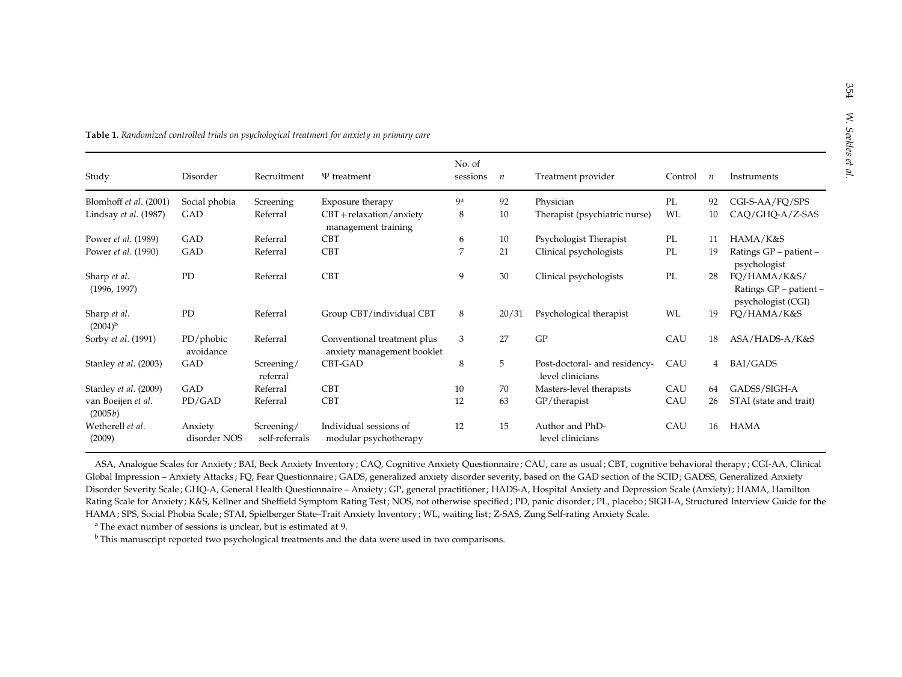| Study                         | Disorder                | Recruitment                  | $\Psi$ treatment                                          | No. of<br>sessions | $\boldsymbol{n}$ | Treatment provider                                | Control | $\boldsymbol{n}$ | Instruments                                                  |
|-------------------------------|-------------------------|------------------------------|-----------------------------------------------------------|--------------------|------------------|---------------------------------------------------|---------|------------------|--------------------------------------------------------------|
| Blomhoff et al. (2001)        | Social phobia           | Screening                    | Exposure therapy                                          | 9 <sup>a</sup>     | 92               | Physician                                         | PL      | 92               | CGI-S-AA/FQ/SPS                                              |
| Lindsay et al. (1987)         | GAD                     | Referral                     | $CBT + relaxation/anxiety$<br>management training         | 8                  | 10               | Therapist (psychiatric nurse)                     | WL      | 10               | CAQ/GHQ-A/Z-SAS                                              |
| Power <i>et al.</i> (1989)    | GAD                     | Referral                     | <b>CBT</b>                                                | 6                  | 10               | Psychologist Therapist                            | PL      | 11               | HAMA/K&S                                                     |
| Power et al. (1990)           | GAD                     | Referral                     | <b>CBT</b>                                                | 7                  | 21               | Clinical psychologists                            | PL      | 19               | Ratings GP – patient –<br>psychologist                       |
| Sharp et al.<br>(1996, 1997)  | PD                      | Referral                     | <b>CBT</b>                                                | 9                  | 30               | Clinical psychologists                            | PL      | 28               | FQ/HAMA/K&S/<br>Ratings GP - patient -<br>psychologist (CGI) |
| Sharp et al.<br>$(2004)^{b}$  | PD                      | Referral                     | Group CBT/individual CBT                                  | 8                  | 20/31            | Psychological therapist                           | WL      | 19               | FO/HAMA/K&S                                                  |
| Sorby et al. (1991)           | PD/phobic<br>avoidance  | Referral                     | Conventional treatment plus<br>anxiety management booklet | 3                  | 27               | GP                                                | CAU     | 18               | ASA/HADS-A/K&S                                               |
| Stanley et al. (2003)         | GAD                     | Screening/<br>referral       | CBT-GAD                                                   | 8                  | 5                | Post-doctoral- and residency-<br>level clinicians | CAU     | $4\overline{ }$  | BAI/GADS                                                     |
| Stanley et al. (2009)         | GAD                     | Referral                     | <b>CBT</b>                                                | 10                 | 70               | Masters-level therapists                          | CAU     | 64               | GADSS/SIGH-A                                                 |
| van Boeijen et al.<br>(2005b) | PD/GAD                  | Referral                     | <b>CBT</b>                                                | 12                 | 63               | $GP/$ therapist                                   | CAU     | 26               | STAI (state and trait)                                       |
| Wetherell et al.<br>(2009)    | Anxiety<br>disorder NOS | Screening/<br>self-referrals | Individual sessions of<br>modular psychotherapy           | 12                 | 15               | Author and PhD-<br>level clinicians               | CAU     | 16               | <b>HAMA</b>                                                  |

Table 1. Randomized controlled trials on psychological treatment for anxiety in primary care

ASA, Analogue Scales for Anxiety; BAI, Beck Anxiety Inventory; CAQ, Cognitive Anxiety Questionnaire; CAU, care as usual; CBT, cognitive behavioral therapy; CGI-AA, Clinical Global Impression - Anxiety Attacks; FQ, Fear Questionnaire; GADS, generalized anxiety disorder severity, based on the GAD section of the SCID; GADSS, Generalized Anxiety Disorder Severity Scale ; GHQ-A, General Health Questionnaire – Anxiety ; GP, general practitioner ; HADS-A, Hospital Anxiety and Depression Scale (Anxiety) ; HAMA, Hamilton Rating Scale for Anxiety; K&S, Kellner and Sheffield Symptom Rating Test; NOS, not otherwise specified; PD, panic disorder; PL, placebo; SIGH-A, Structured Interview Guide for the HAMA ; SPS, Social Phobia Scale; STAI, Spielberger State–Trait Anxiety Inventory ; WL, waiting list ; Z-SAS, Zung Self-rating Anxiety Scale.

a The exact number of sessions is unclear, but is estimated at 9.

 $^{\rm b}$ This manuscript reported two psychological treatments and the data were used in two comparisons.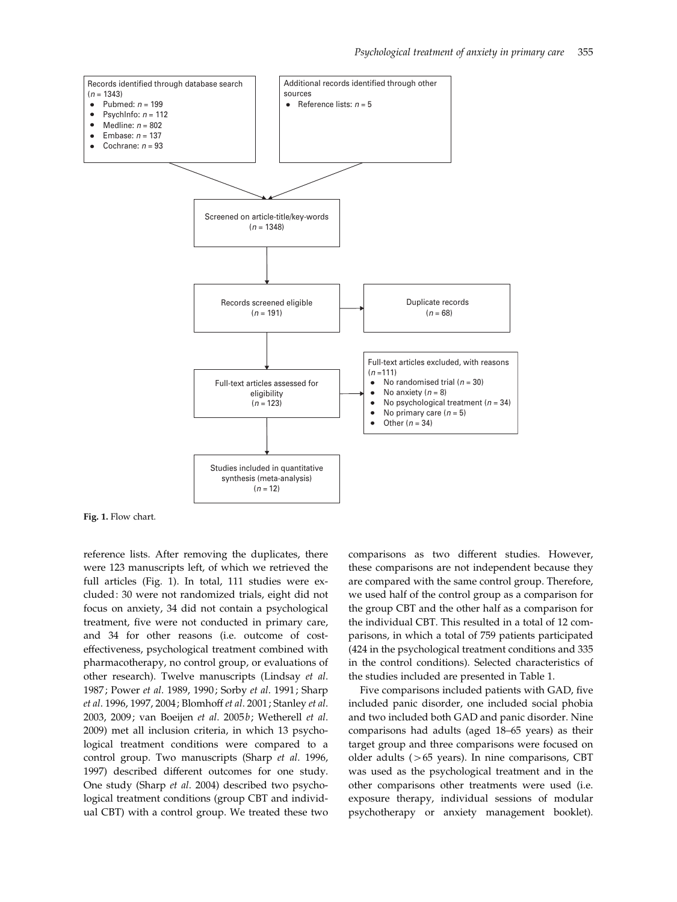

Fig. 1. Flow chart.

reference lists. After removing the duplicates, there were 123 manuscripts left, of which we retrieved the full articles (Fig. 1). In total, 111 studies were excluded: 30 were not randomized trials, eight did not focus on anxiety, 34 did not contain a psychological treatment, five were not conducted in primary care, and 34 for other reasons (i.e. outcome of costeffectiveness, psychological treatment combined with pharmacotherapy, no control group, or evaluations of other research). Twelve manuscripts (Lindsay et al. 1987; Power et al. 1989, 1990; Sorby et al. 1991; Sharp et al. 1996, 1997, 2004; Blomhoff et al. 2001; Stanley et al. 2003, 2009; van Boeijen et al. 2005b; Wetherell et al. 2009) met all inclusion criteria, in which 13 psychological treatment conditions were compared to a control group. Two manuscripts (Sharp et al. 1996, 1997) described different outcomes for one study. One study (Sharp et al. 2004) described two psychological treatment conditions (group CBT and individual CBT) with a control group. We treated these two comparisons as two different studies. However, these comparisons are not independent because they are compared with the same control group. Therefore, we used half of the control group as a comparison for the group CBT and the other half as a comparison for the individual CBT. This resulted in a total of 12 comparisons, in which a total of 759 patients participated (424 in the psychological treatment conditions and 335 in the control conditions). Selected characteristics of the studies included are presented in Table 1.

Five comparisons included patients with GAD, five included panic disorder, one included social phobia and two included both GAD and panic disorder. Nine comparisons had adults (aged 18–65 years) as their target group and three comparisons were focused on older adults (>65 years). In nine comparisons, CBT was used as the psychological treatment and in the other comparisons other treatments were used (i.e. exposure therapy, individual sessions of modular psychotherapy or anxiety management booklet).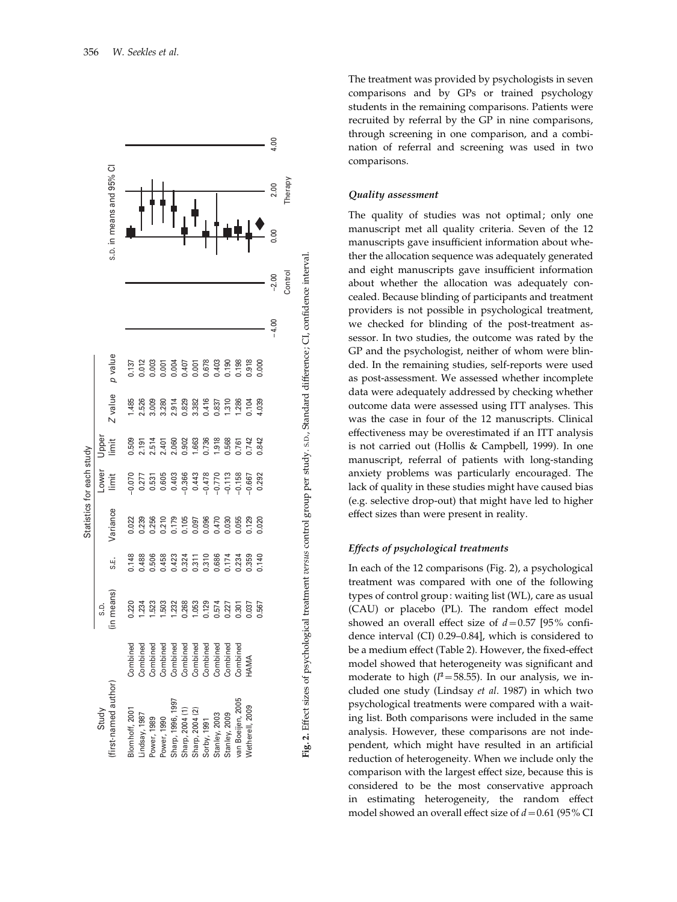

The treatment was provided by psychologists in seven comparisons and by GPs or trained psychology students in the remaining comparisons. Patients were recruited by referral by the GP in nine comparisons, through screening in one comparison, and a combination of referral and screening was used in two comparisons.

# Quality assessment

The quality of studies was not optimal; only one manuscript met all quality criteria. Seven of the 12 manuscripts gave insufficient information about whether the allocation sequence was adequately generated and eight manuscripts gave insufficient information about whether the allocation was adequately concealed. Because blinding of participants and treatment providers is not possible in psychological treatment, we checked for blinding of the post-treatment assessor. In two studies, the outcome was rated by the GP and the psychologist, neither of whom were blinded. In the remaining studies, self-reports were used as post-assessment. We assessed whether incomplete data were adequately addressed by checking whether outcome data were assessed using ITT analyses. This was the case in four of the 12 manuscripts. Clinical effectiveness may be overestimated if an ITT analysis is not carried out (Hollis & Campbell, 1999). In one manuscript, referral of patients with long-standing anxiety problems was particularly encouraged. The lack of quality in these studies might have caused bias (e.g. selective drop-out) that might have led to higher effect sizes than were present in reality.

# Effects of psychological treatments

In each of the 12 comparisons (Fig. 2), a psychological treatment was compared with one of the following types of control group: waiting list (WL), care as usual (CAU) or placebo (PL). The random effect model showed an overall effect size of  $d=0.57$  [95% confidence interval (CI) 0.29–0.84], which is considered to be a medium effect (Table 2). However, the fixed-effect model showed that heterogeneity was significant and moderate to high  $(I^2 = 58.55)$ . In our analysis, we included one study (Lindsay et al. 1987) in which two psychological treatments were compared with a waiting list. Both comparisons were included in the same analysis. However, these comparisons are not independent, which might have resulted in an artificial reduction of heterogeneity. When we include only the comparison with the largest effect size, because this is considered to be the most conservative approach in estimating heterogeneity, the random effect model showed an overall effect size of  $d = 0.61$  (95% CI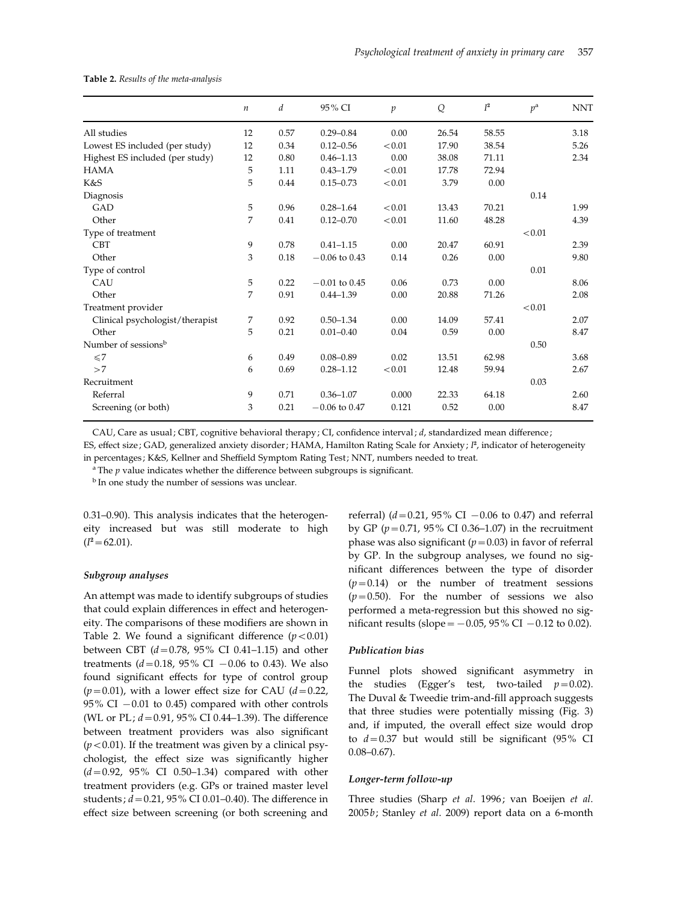Table 2. Results of the meta-analysis

|                                 | $\boldsymbol{n}$ | d    | 95% CI          | $\boldsymbol{p}$ | Q     | $I^2$ | $p^{\rm a}$ | <b>NNT</b> |
|---------------------------------|------------------|------|-----------------|------------------|-------|-------|-------------|------------|
| All studies                     | 12               | 0.57 | $0.29 - 0.84$   | 0.00             | 26.54 | 58.55 |             | 3.18       |
| Lowest ES included (per study)  | 12               | 0.34 | $0.12 - 0.56$   | < 0.01           | 17.90 | 38.54 |             | 5.26       |
| Highest ES included (per study) | 12               | 0.80 | $0.46 - 1.13$   | 0.00             | 38.08 | 71.11 |             | 2.34       |
| <b>HAMA</b>                     | 5                | 1.11 | $0.43 - 1.79$   | < 0.01           | 17.78 | 72.94 |             |            |
| K&S                             | 5                | 0.44 | $0.15 - 0.73$   | < 0.01           | 3.79  | 0.00  |             |            |
| Diagnosis                       |                  |      |                 |                  |       |       | 0.14        |            |
| GAD                             | 5                | 0.96 | $0.28 - 1.64$   | < 0.01           | 13.43 | 70.21 |             | 1.99       |
| Other                           | 7                | 0.41 | $0.12 - 0.70$   | < 0.01           | 11.60 | 48.28 |             | 4.39       |
| Type of treatment               |                  |      |                 |                  |       |       | < 0.01      |            |
| <b>CBT</b>                      | 9                | 0.78 | $0.41 - 1.15$   | 0.00             | 20.47 | 60.91 |             | 2.39       |
| Other                           | 3                | 0.18 | $-0.06$ to 0.43 | 0.14             | 0.26  | 0.00  |             | 9.80       |
| Type of control                 |                  |      |                 |                  |       |       | 0.01        |            |
| CAU                             | 5                | 0.22 | $-0.01$ to 0.45 | 0.06             | 0.73  | 0.00  |             | 8.06       |
| Other                           | 7                | 0.91 | $0.44 - 1.39$   | 0.00             | 20.88 | 71.26 |             | 2.08       |
| Treatment provider              |                  |      |                 |                  |       |       | < 0.01      |            |
| Clinical psychologist/therapist | 7                | 0.92 | $0.50 - 1.34$   | 0.00             | 14.09 | 57.41 |             | 2.07       |
| Other                           | 5                | 0.21 | $0.01 - 0.40$   | 0.04             | 0.59  | 0.00  |             | 8.47       |
| Number of sessions <sup>b</sup> |                  |      |                 |                  |       |       | 0.50        |            |
| $\leq 7$                        | 6                | 0.49 | $0.08 - 0.89$   | 0.02             | 13.51 | 62.98 |             | 3.68       |
| >7                              | 6                | 0.69 | $0.28 - 1.12$   | < 0.01           | 12.48 | 59.94 |             | 2.67       |
| Recruitment                     |                  |      |                 |                  |       |       | 0.03        |            |
| Referral                        | 9                | 0.71 | $0.36 - 1.07$   | 0.000            | 22.33 | 64.18 |             | 2.60       |
| Screening (or both)             | 3                | 0.21 | $-0.06$ to 0.47 | 0.121            | 0.52  | 0.00  |             | 8.47       |

CAU, Care as usual; CBT, cognitive behavioral therapy; CI, confidence interval; d, standardized mean difference;

ES, effect size; GAD, generalized anxiety disorder; HAMA, Hamilton Rating Scale for Anxiety;  $l^2$ , indicator of heterogeneity in percentages ; K&S, Kellner and Sheffield Symptom Rating Test; NNT, numbers needed to treat.

 $a$ <sup>a</sup> The  $p$  value indicates whether the difference between subgroups is significant.

<sup>b</sup> In one study the number of sessions was unclear.

0.31–0.90). This analysis indicates that the heterogeneity increased but was still moderate to high  $(I^2=62.01).$ 

### Subgroup analyses

An attempt was made to identify subgroups of studies that could explain differences in effect and heterogeneity. The comparisons of these modifiers are shown in Table 2. We found a significant difference  $(p<0.01)$ between CBT  $(d=0.78, 95\% \text{ CI } 0.41-1.15)$  and other treatments ( $d = 0.18$ , 95% CI  $-0.06$  to 0.43). We also found significant effects for type of control group  $(p=0.01)$ , with a lower effect size for CAU ( $d=0.22$ , 95% CI  $-0.01$  to 0.45) compared with other controls (WL or PL;  $d = 0.91$ , 95% CI 0.44–1.39). The difference between treatment providers was also significant  $(p<0.01)$ . If the treatment was given by a clinical psychologist, the effect size was significantly higher  $(d=0.92, 95\% \text{ CI } 0.50-1.34)$  compared with other treatment providers (e.g. GPs or trained master level students;  $d = 0.21$ , 95% CI 0.01-0.40). The difference in effect size between screening (or both screening and

referral) ( $d = 0.21$ , 95% CI  $-0.06$  to 0.47) and referral by GP ( $p=0.71$ , 95% CI 0.36–1.07) in the recruitment phase was also significant ( $p=0.03$ ) in favor of referral by GP. In the subgroup analyses, we found no significant differences between the type of disorder  $(p=0.14)$  or the number of treatment sessions  $(p=0.50)$ . For the number of sessions we also performed a meta-regression but this showed no significant results (slope =  $-0.05$ , 95% CI  $-0.12$  to 0.02).

### Publication bias

Funnel plots showed significant asymmetry in the studies (Egger's test, two-tailed  $p=0.02$ ). The Duval & Tweedie trim-and-fill approach suggests that three studies were potentially missing (Fig. 3) and, if imputed, the overall effect size would drop to  $d=0.37$  but would still be significant (95% CI 0.08–0.67).

# Longer-term follow-up

Three studies (Sharp et al. 1996; van Boeijen et al. 2005b; Stanley et al. 2009) report data on a 6-month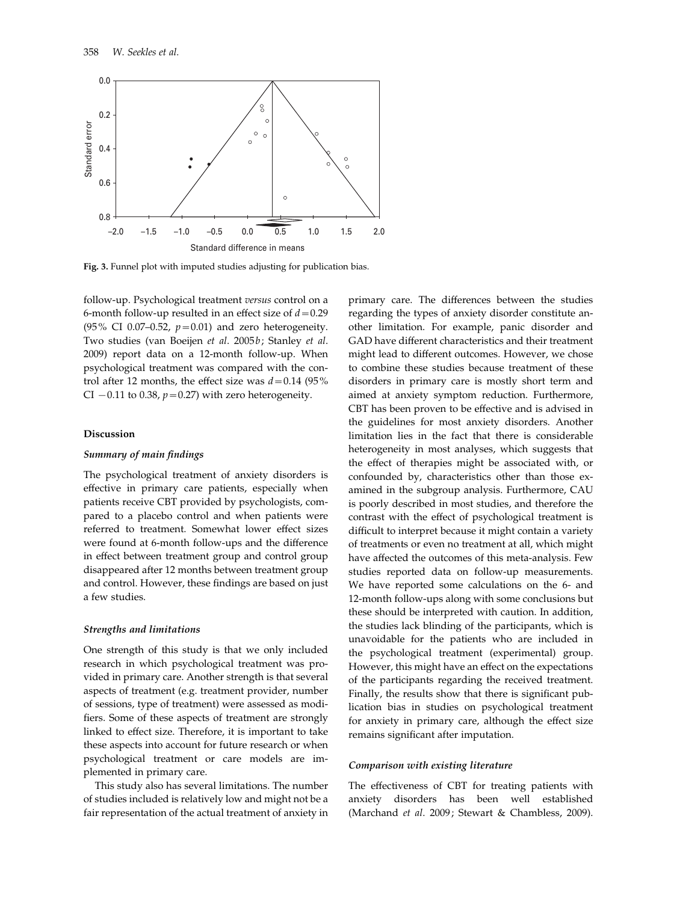

Fig. 3. Funnel plot with imputed studies adjusting for publication bias.

follow-up. Psychological treatment versus control on a 6-month follow-up resulted in an effect size of  $d=0.29$ (95% CI 0.07–0.52,  $p=0.01$ ) and zero heterogeneity. Two studies (van Boeijen et al. 2005b; Stanley et al. 2009) report data on a 12-month follow-up. When psychological treatment was compared with the control after 12 months, the effect size was  $d=0.14$  (95%) CI  $-0.11$  to 0.38,  $p=0.27$ ) with zero heterogeneity.

### Discussion

# Summary of main findings

The psychological treatment of anxiety disorders is effective in primary care patients, especially when patients receive CBT provided by psychologists, compared to a placebo control and when patients were referred to treatment. Somewhat lower effect sizes were found at 6-month follow-ups and the difference in effect between treatment group and control group disappeared after 12 months between treatment group and control. However, these findings are based on just a few studies.

#### Strengths and limitations

One strength of this study is that we only included research in which psychological treatment was provided in primary care. Another strength is that several aspects of treatment (e.g. treatment provider, number of sessions, type of treatment) were assessed as modifiers. Some of these aspects of treatment are strongly linked to effect size. Therefore, it is important to take these aspects into account for future research or when psychological treatment or care models are implemented in primary care.

This study also has several limitations. The number of studies included is relatively low and might not be a fair representation of the actual treatment of anxiety in

primary care. The differences between the studies regarding the types of anxiety disorder constitute another limitation. For example, panic disorder and GAD have different characteristics and their treatment might lead to different outcomes. However, we chose to combine these studies because treatment of these disorders in primary care is mostly short term and aimed at anxiety symptom reduction. Furthermore, CBT has been proven to be effective and is advised in the guidelines for most anxiety disorders. Another limitation lies in the fact that there is considerable heterogeneity in most analyses, which suggests that the effect of therapies might be associated with, or confounded by, characteristics other than those examined in the subgroup analysis. Furthermore, CAU is poorly described in most studies, and therefore the contrast with the effect of psychological treatment is difficult to interpret because it might contain a variety of treatments or even no treatment at all, which might have affected the outcomes of this meta-analysis. Few studies reported data on follow-up measurements. We have reported some calculations on the 6- and 12-month follow-ups along with some conclusions but these should be interpreted with caution. In addition, the studies lack blinding of the participants, which is unavoidable for the patients who are included in the psychological treatment (experimental) group. However, this might have an effect on the expectations of the participants regarding the received treatment. Finally, the results show that there is significant publication bias in studies on psychological treatment for anxiety in primary care, although the effect size remains significant after imputation.

### Comparison with existing literature

The effectiveness of CBT for treating patients with anxiety disorders has been well established (Marchand et al. 2009; Stewart & Chambless, 2009).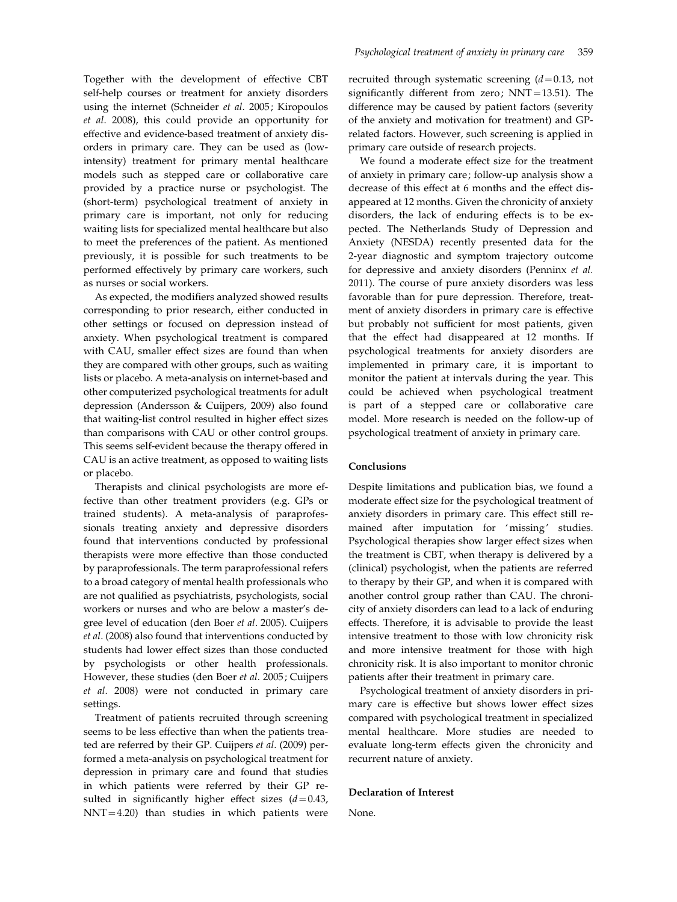Together with the development of effective CBT self-help courses or treatment for anxiety disorders using the internet (Schneider et al. 2005; Kiropoulos et al. 2008), this could provide an opportunity for effective and evidence-based treatment of anxiety disorders in primary care. They can be used as (lowintensity) treatment for primary mental healthcare models such as stepped care or collaborative care provided by a practice nurse or psychologist. The (short-term) psychological treatment of anxiety in primary care is important, not only for reducing waiting lists for specialized mental healthcare but also to meet the preferences of the patient. As mentioned previously, it is possible for such treatments to be performed effectively by primary care workers, such as nurses or social workers.

As expected, the modifiers analyzed showed results corresponding to prior research, either conducted in other settings or focused on depression instead of anxiety. When psychological treatment is compared with CAU, smaller effect sizes are found than when they are compared with other groups, such as waiting lists or placebo. A meta-analysis on internet-based and other computerized psychological treatments for adult depression (Andersson & Cuijpers, 2009) also found that waiting-list control resulted in higher effect sizes than comparisons with CAU or other control groups. This seems self-evident because the therapy offered in CAU is an active treatment, as opposed to waiting lists or placebo.

Therapists and clinical psychologists are more effective than other treatment providers (e.g. GPs or trained students). A meta-analysis of paraprofessionals treating anxiety and depressive disorders found that interventions conducted by professional therapists were more effective than those conducted by paraprofessionals. The term paraprofessional refers to a broad category of mental health professionals who are not qualified as psychiatrists, psychologists, social workers or nurses and who are below a master's degree level of education (den Boer et al. 2005). Cuijpers et al. (2008) also found that interventions conducted by students had lower effect sizes than those conducted by psychologists or other health professionals. However, these studies (den Boer et al. 2005; Cuijpers et al. 2008) were not conducted in primary care settings.

Treatment of patients recruited through screening seems to be less effective than when the patients treated are referred by their GP. Cuijpers et al. (2009) performed a meta-analysis on psychological treatment for depression in primary care and found that studies in which patients were referred by their GP resulted in significantly higher effect sizes  $(d=0.43,$ NNT=4.20) than studies in which patients were

recruited through systematic screening  $(d=0.13, not$ significantly different from zero; NNT=13.51). The difference may be caused by patient factors (severity of the anxiety and motivation for treatment) and GPrelated factors. However, such screening is applied in primary care outside of research projects.

We found a moderate effect size for the treatment of anxiety in primary care; follow-up analysis show a decrease of this effect at 6 months and the effect disappeared at 12 months. Given the chronicity of anxiety disorders, the lack of enduring effects is to be expected. The Netherlands Study of Depression and Anxiety (NESDA) recently presented data for the 2-year diagnostic and symptom trajectory outcome for depressive and anxiety disorders (Penninx et al. 2011). The course of pure anxiety disorders was less favorable than for pure depression. Therefore, treatment of anxiety disorders in primary care is effective but probably not sufficient for most patients, given that the effect had disappeared at 12 months. If psychological treatments for anxiety disorders are implemented in primary care, it is important to monitor the patient at intervals during the year. This could be achieved when psychological treatment is part of a stepped care or collaborative care model. More research is needed on the follow-up of psychological treatment of anxiety in primary care.

# Conclusions

Despite limitations and publication bias, we found a moderate effect size for the psychological treatment of anxiety disorders in primary care. This effect still remained after imputation for 'missing' studies. Psychological therapies show larger effect sizes when the treatment is CBT, when therapy is delivered by a (clinical) psychologist, when the patients are referred to therapy by their GP, and when it is compared with another control group rather than CAU. The chronicity of anxiety disorders can lead to a lack of enduring effects. Therefore, it is advisable to provide the least intensive treatment to those with low chronicity risk and more intensive treatment for those with high chronicity risk. It is also important to monitor chronic patients after their treatment in primary care.

Psychological treatment of anxiety disorders in primary care is effective but shows lower effect sizes compared with psychological treatment in specialized mental healthcare. More studies are needed to evaluate long-term effects given the chronicity and recurrent nature of anxiety.

#### Declaration of Interest

None.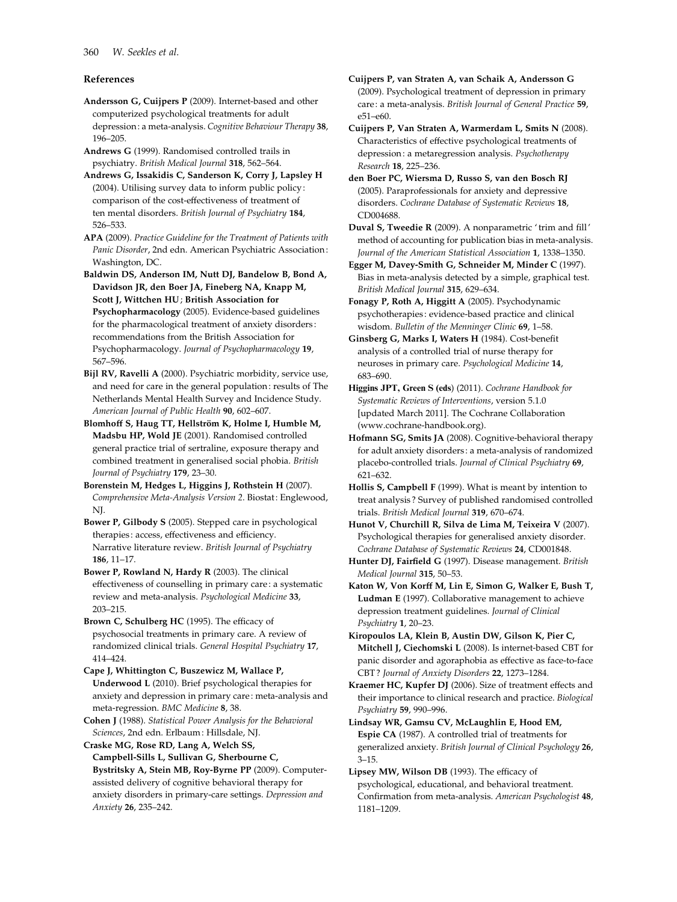# References

- Andersson G, Cuijpers P (2009). Internet-based and other computerized psychological treatments for adult depression: a meta-analysis. Cognitive Behaviour Therapy 38, 196–205.
- Andrews G (1999). Randomised controlled trails in psychiatry. British Medical Journal 318, 562–564.
- Andrews G, Issakidis C, Sanderson K, Corry J, Lapsley H (2004). Utilising survey data to inform public policy : comparison of the cost-effectiveness of treatment of ten mental disorders. British Journal of Psychiatry 184, 526–533.
- APA (2009). Practice Guideline for the Treatment of Patients with Panic Disorder, 2nd edn. American Psychiatric Association : Washington, DC.
- Baldwin DS, Anderson IM, Nutt DJ, Bandelow B, Bond A, Davidson JR, den Boer JA, Fineberg NA, Knapp M, Scott J, Wittchen HU; British Association for Psychopharmacology (2005). Evidence-based guidelines for the pharmacological treatment of anxiety disorders : recommendations from the British Association for Psychopharmacology. Journal of Psychopharmacology 19, 567–596.
- Bijl RV, Ravelli A (2000). Psychiatric morbidity, service use, and need for care in the general population : results of The Netherlands Mental Health Survey and Incidence Study. American Journal of Public Health 90, 602–607.
- Blomhoff S, Haug TT, Hellström K, Holme I, Humble M, Madsbu HP, Wold JE (2001). Randomised controlled general practice trial of sertraline, exposure therapy and combined treatment in generalised social phobia. British Journal of Psychiatry 179, 23–30.
- Borenstein M, Hedges L, Higgins J, Rothstein H (2007). Comprehensive Meta-Analysis Version 2. Biostat : Englewood, NJ.
- Bower P, Gilbody S (2005). Stepped care in psychological therapies: access, effectiveness and efficiency. Narrative literature review. British Journal of Psychiatry 186, 11–17.
- Bower P, Rowland N, Hardy R (2003). The clinical effectiveness of counselling in primary care : a systematic review and meta-analysis. Psychological Medicine 33, 203–215.
- Brown C, Schulberg HC (1995). The efficacy of psychosocial treatments in primary care. A review of randomized clinical trials. General Hospital Psychiatry 17, 414–424.
- Cape J, Whittington C, Buszewicz M, Wallace P, Underwood L (2010). Brief psychological therapies for anxiety and depression in primary care : meta-analysis and meta-regression. BMC Medicine 8, 38.
- Cohen J (1988). Statistical Power Analysis for the Behavioral Sciences, 2nd edn. Erlbaum : Hillsdale, NJ.
- Craske MG, Rose RD, Lang A, Welch SS, Campbell-Sills L, Sullivan G, Sherbourne C, Bystritsky A, Stein MB, Roy-Byrne PP (2009). Computerassisted delivery of cognitive behavioral therapy for anxiety disorders in primary-care settings. Depression and Anxiety 26, 235–242.
- Cuijpers P, van Straten A, van Schaik A, Andersson G (2009). Psychological treatment of depression in primary care : a meta-analysis. British Journal of General Practice 59, e51–e60.
- Cuijpers P, Van Straten A, Warmerdam L, Smits N (2008). Characteristics of effective psychological treatments of depression: a metaregression analysis. Psychotherapy Research 18, 225–236.
- den Boer PC, Wiersma D, Russo S, van den Bosch RJ (2005). Paraprofessionals for anxiety and depressive disorders. Cochrane Database of Systematic Reviews 18, CD004688.
- Duval S, Tweedie R (2009). A nonparametric ' trim and fill' method of accounting for publication bias in meta-analysis. Journal of the American Statistical Association 1, 1338–1350.
- Egger M, Davey-Smith G, Schneider M, Minder C (1997). Bias in meta-analysis detected by a simple, graphical test. British Medical Journal 315, 629–634.
- Fonagy P, Roth A, Higgitt A (2005). Psychodynamic psychotherapies : evidence-based practice and clinical wisdom. Bulletin of the Menninger Clinic 69, 1–58.
- Ginsberg G, Marks I, Waters H (1984). Cost-benefit analysis of a controlled trial of nurse therapy for neuroses in primary care. Psychological Medicine 14, 683–690.
- Higgins JPT, Green S (eds) (2011). Cochrane Handbook for Systematic Reviews of Interventions, version 5.1.0 [updated March 2011]. The Cochrane Collaboration (www.cochrane-handbook.org).
- Hofmann SG, Smits JA (2008). Cognitive-behavioral therapy for adult anxiety disorders : a meta-analysis of randomized placebo-controlled trials. Journal of Clinical Psychiatry 69, 621–632.
- Hollis S, Campbell F (1999). What is meant by intention to treat analysis ? Survey of published randomised controlled trials. British Medical Journal 319, 670–674.
- Hunot V, Churchill R, Silva de Lima M, Teixeira V (2007). Psychological therapies for generalised anxiety disorder. Cochrane Database of Systematic Reviews 24, CD001848.
- Hunter DJ, Fairfield G (1997). Disease management. British Medical Journal 315, 50–53.
- Katon W, Von Korff M, Lin E, Simon G, Walker E, Bush T, Ludman E (1997). Collaborative management to achieve depression treatment guidelines. Journal of Clinical Psychiatry 1, 20–23.
- Kiropoulos LA, Klein B, Austin DW, Gilson K, Pier C, Mitchell J, Ciechomski L (2008). Is internet-based CBT for panic disorder and agoraphobia as effective as face-to-face CBT ? Journal of Anxiety Disorders 22, 1273–1284.
- Kraemer HC, Kupfer DJ (2006). Size of treatment effects and their importance to clinical research and practice. Biological Psychiatry 59, 990–996.
- Lindsay WR, Gamsu CV, McLaughlin E, Hood EM, Espie CA (1987). A controlled trial of treatments for generalized anxiety. British Journal of Clinical Psychology 26, 3–15.
- Lipsey MW, Wilson DB (1993). The efficacy of psychological, educational, and behavioral treatment. Confirmation from meta-analysis. American Psychologist 48, 1181–1209.